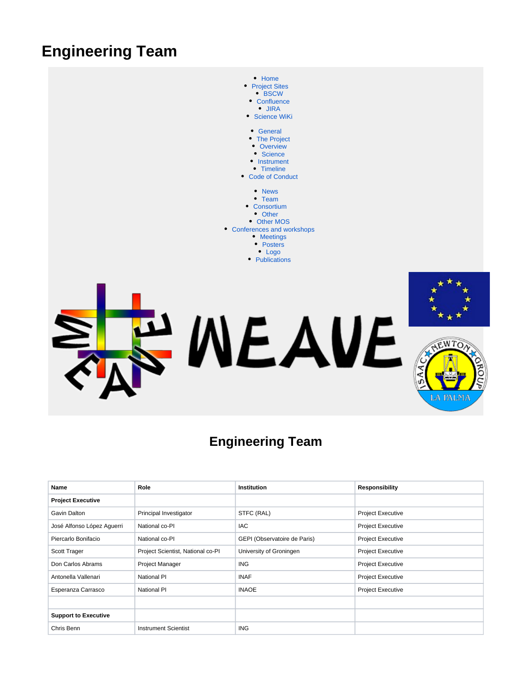## **Engineering Team**



## **Engineering Team**

| Name                        | Role                              | Institution                  | <b>Responsibility</b>    |
|-----------------------------|-----------------------------------|------------------------------|--------------------------|
| <b>Project Executive</b>    |                                   |                              |                          |
| Gavin Dalton                | Principal Investigator            | STFC (RAL)                   | <b>Project Executive</b> |
| José Alfonso López Aguerri  | National co-PI                    | <b>IAC</b>                   | <b>Project Executive</b> |
| Piercarlo Bonifacio         | National co-PI                    | GEPI (Observatoire de Paris) | <b>Project Executive</b> |
| Scott Trager                | Project Scientist, National co-PI | University of Groningen      | <b>Project Executive</b> |
| Don Carlos Abrams           | <b>Project Manager</b>            | <b>ING</b>                   | <b>Project Executive</b> |
| Antonella Vallenari         | <b>National PI</b>                | <b>INAF</b>                  | <b>Project Executive</b> |
| Esperanza Carrasco          | National PI                       | <b>INAOE</b>                 | <b>Project Executive</b> |
|                             |                                   |                              |                          |
| <b>Support to Executive</b> |                                   |                              |                          |
| Chris Benn                  | <b>Instrument Scientist</b>       | <b>ING</b>                   |                          |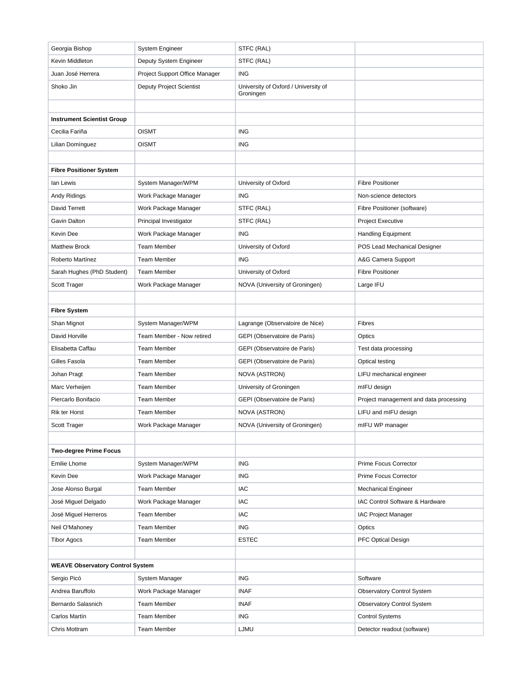| Georgia Bishop                          | System Engineer                 | STFC (RAL)                                        |                                        |
|-----------------------------------------|---------------------------------|---------------------------------------------------|----------------------------------------|
| Kevin Middleton                         | Deputy System Engineer          | STFC (RAL)                                        |                                        |
| Juan José Herrera                       | Project Support Office Manager  | <b>ING</b>                                        |                                        |
| Shoko Jin                               | <b>Deputy Project Scientist</b> | University of Oxford / University of<br>Groningen |                                        |
|                                         |                                 |                                                   |                                        |
| <b>Instrument Scientist Group</b>       |                                 |                                                   |                                        |
| Cecilia Fariña                          | <b>OISMT</b>                    | <b>ING</b>                                        |                                        |
| Lilian Domínguez                        | <b>OISMT</b>                    | <b>ING</b>                                        |                                        |
|                                         |                                 |                                                   |                                        |
| <b>Fibre Positioner System</b>          |                                 |                                                   |                                        |
| lan Lewis                               | System Manager/WPM              | University of Oxford                              | <b>Fibre Positioner</b>                |
| Andy Ridings                            | Work Package Manager            | <b>ING</b>                                        | Non-science detectors                  |
| David Terrett                           | Work Package Manager            | STFC (RAL)                                        | Fibre Positioner (software)            |
| Gavin Dalton                            | Principal Investigator          | STFC (RAL)                                        | <b>Project Executive</b>               |
| Kevin Dee                               | Work Package Manager            | <b>ING</b>                                        | <b>Handling Equipment</b>              |
| <b>Matthew Brock</b>                    | <b>Team Member</b>              | University of Oxford                              | POS Lead Mechanical Designer           |
| Roberto Martínez                        | <b>Team Member</b>              | <b>ING</b>                                        | A&G Camera Support                     |
| Sarah Hughes (PhD Student)              | <b>Team Member</b>              | University of Oxford                              | <b>Fibre Positioner</b>                |
| Scott Trager                            | Work Package Manager            | NOVA (University of Groningen)                    | Large IFU                              |
|                                         |                                 |                                                   |                                        |
| <b>Fibre System</b>                     |                                 |                                                   |                                        |
| Shan Mignot                             | System Manager/WPM              | Lagrange (Observatoire de Nice)                   | Fibres                                 |
| David Horville                          | Team Member - Now retired       | GEPI (Observatoire de Paris)                      | Optics                                 |
| Elisabetta Caffau                       | <b>Team Member</b>              | GEPI (Observatoire de Paris)                      | Test data processing                   |
| Gilles Fasola                           | <b>Team Member</b>              | GEPI (Observatoire de Paris)                      | <b>Optical testing</b>                 |
| Johan Pragt                             | <b>Team Member</b>              | <b>NOVA (ASTRON)</b>                              | LIFU mechanical engineer               |
| Marc Verheijen                          | <b>Team Member</b>              | University of Groningen                           | mIFU design                            |
| Piercarlo Bonifacio                     | <b>Team Member</b>              | GEPI (Observatoire de Paris)                      | Project management and data processing |
| <b>Rik ter Horst</b>                    | <b>Team Member</b>              | NOVA (ASTRON)                                     | LIFU and mIFU design                   |
| Scott Trager                            | Work Package Manager            | NOVA (University of Groningen)                    | mIFU WP manager                        |
|                                         |                                 |                                                   |                                        |
| <b>Two-degree Prime Focus</b>           |                                 |                                                   |                                        |
| <b>Emilie Lhome</b>                     | System Manager/WPM              | <b>ING</b>                                        | Prime Focus Corrector                  |
| Kevin Dee                               | Work Package Manager            | <b>ING</b>                                        | Prime Focus Corrector                  |
| Jose Alonso Burgal                      | <b>Team Member</b>              | <b>IAC</b>                                        | <b>Mechanical Engineer</b>             |
| José Miguel Delgado                     | Work Package Manager            | IAC                                               | IAC Control Software & Hardware        |
| José Miguel Herreros                    | Team Member                     | <b>IAC</b>                                        | <b>IAC Project Manager</b>             |
| Neil O'Mahoney                          | <b>Team Member</b>              | <b>ING</b>                                        | Optics                                 |
| <b>Tibor Agocs</b>                      | <b>Team Member</b>              | <b>ESTEC</b>                                      | PFC Optical Design                     |
|                                         |                                 |                                                   |                                        |
| <b>WEAVE Observatory Control System</b> |                                 |                                                   |                                        |
| Sergio Picó                             | System Manager                  | <b>ING</b>                                        | Software                               |
| Andrea Baruffolo                        | Work Package Manager            | <b>INAF</b>                                       | <b>Observatory Control System</b>      |
| Bernardo Salasnich                      | <b>Team Member</b>              | <b>INAF</b>                                       | <b>Observatory Control System</b>      |
| Carlos Martín                           | <b>Team Member</b>              | <b>ING</b>                                        | <b>Control Systems</b>                 |
| Chris Mottram                           | <b>Team Member</b>              | LJMU                                              | Detector readout (software)            |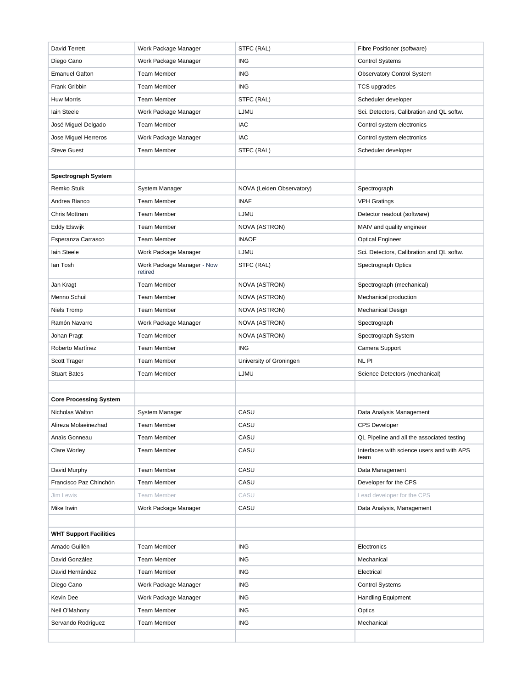| David Terrett                 | Work Package Manager                  | STFC (RAL)                | Fibre Positioner (software)                        |
|-------------------------------|---------------------------------------|---------------------------|----------------------------------------------------|
| Diego Cano                    | Work Package Manager                  | <b>ING</b>                | <b>Control Systems</b>                             |
| <b>Emanuel Gafton</b>         | <b>Team Member</b>                    | <b>ING</b>                | <b>Observatory Control System</b>                  |
| Frank Gribbin                 | <b>Team Member</b>                    | <b>ING</b>                | <b>TCS</b> upgrades                                |
| <b>Huw Morris</b>             | <b>Team Member</b>                    | STFC (RAL)                | Scheduler developer                                |
| lain Steele                   | Work Package Manager                  | LJMU                      | Sci. Detectors, Calibration and QL softw.          |
| José Miguel Delgado           | <b>Team Member</b>                    | <b>IAC</b>                | Control system electronics                         |
| Jose Miguel Herreros          | Work Package Manager                  | <b>IAC</b>                | Control system electronics                         |
| <b>Steve Guest</b>            | <b>Team Member</b>                    | STFC (RAL)                | Scheduler developer                                |
|                               |                                       |                           |                                                    |
| <b>Spectrograph System</b>    |                                       |                           |                                                    |
| Remko Stuik                   | System Manager                        | NOVA (Leiden Observatory) | Spectrograph                                       |
| Andrea Bianco                 | <b>Team Member</b>                    | <b>INAF</b>               | <b>VPH Gratings</b>                                |
| Chris Mottram                 | <b>Team Member</b>                    | LJMU                      | Detector readout (software)                        |
| Eddy Elswijk                  | <b>Team Member</b>                    | <b>NOVA (ASTRON)</b>      | MAIV and quality engineer                          |
| Esperanza Carrasco            | <b>Team Member</b>                    | <b>INAOE</b>              | <b>Optical Engineer</b>                            |
| lain Steele                   | Work Package Manager                  | LJMU                      | Sci. Detectors, Calibration and QL softw.          |
| lan Tosh                      | Work Package Manager - Now<br>retired | STFC (RAL)                | Spectrograph Optics                                |
| Jan Kragt                     | <b>Team Member</b>                    | NOVA (ASTRON)             | Spectrograph (mechanical)                          |
| Menno Schuil                  | <b>Team Member</b>                    | NOVA (ASTRON)             | Mechanical production                              |
| Niels Tromp                   | <b>Team Member</b>                    | <b>NOVA (ASTRON)</b>      | <b>Mechanical Design</b>                           |
| Ramón Navarro                 | Work Package Manager                  | NOVA (ASTRON)             | Spectrograph                                       |
| Johan Pragt                   | <b>Team Member</b>                    | NOVA (ASTRON)             | Spectrograph System                                |
| Roberto Martínez              | <b>Team Member</b>                    | <b>ING</b>                | Camera Support                                     |
| Scott Trager                  | <b>Team Member</b>                    | University of Groningen   | NL PI                                              |
| <b>Stuart Bates</b>           | <b>Team Member</b>                    | LJMU                      | Science Detectors (mechanical)                     |
|                               |                                       |                           |                                                    |
| <b>Core Processing System</b> |                                       |                           |                                                    |
| Nicholas Walton               |                                       |                           |                                                    |
|                               | System Manager                        | CASU                      | Data Analysis Management                           |
| Alireza Molaeinezhad          | <b>Team Member</b>                    | CASU                      | <b>CPS Developer</b>                               |
| Anaïs Gonneau                 | <b>Team Member</b>                    | CASU                      | QL Pipeline and all the associated testing         |
| <b>Clare Worley</b>           | <b>Team Member</b>                    | CASU                      | Interfaces with science users and with APS<br>team |
| David Murphy                  | <b>Team Member</b>                    | CASU                      | Data Management                                    |
| Francisco Paz Chinchón        | <b>Team Member</b>                    | CASU                      | Developer for the CPS                              |
| Jim Lewis                     | <b>Team Member</b>                    | CASU                      | Lead developer for the CPS                         |
| Mike Irwin                    | Work Package Manager                  | CASU                      | Data Analysis, Management                          |
|                               |                                       |                           |                                                    |
| <b>WHT Support Facilities</b> |                                       |                           |                                                    |
| Amado Guillén                 | <b>Team Member</b>                    | <b>ING</b>                | Electronics                                        |
| David González                | <b>Team Member</b>                    | ING                       | Mechanical                                         |
| David Hernández               | <b>Team Member</b>                    | <b>ING</b>                | Electrical                                         |
| Diego Cano                    | Work Package Manager                  | ING                       | <b>Control Systems</b>                             |
| Kevin Dee                     | Work Package Manager                  | ING                       | Handling Equipment                                 |
| Neil O'Mahony                 | <b>Team Member</b>                    | <b>ING</b>                | Optics                                             |
| Servando Rodríguez            | <b>Team Member</b>                    | ING                       | Mechanical                                         |